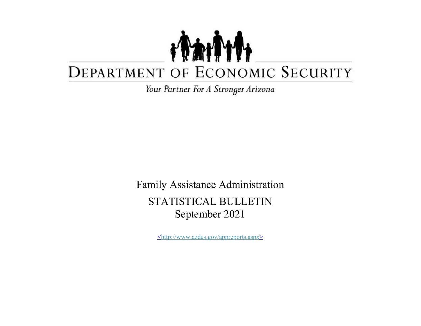## TANT DEPARTMENT OF ECONOMIC SECURITY

Your Partner For A Stronger Arizona

Family Assistance Administration STATISTICAL BULLETIN September 2021

<http://www.azdes.gov/appreports.aspx>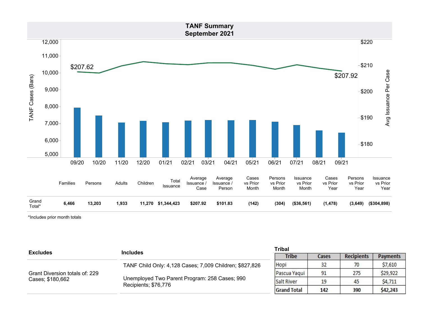

\*Includes prior month totals

| <b>Excludes</b>                | <b>Includes</b>                                                       | <b>Tribal</b>      |       |                   |                 |  |
|--------------------------------|-----------------------------------------------------------------------|--------------------|-------|-------------------|-----------------|--|
|                                |                                                                       | <b>Tribe</b>       | Cases | <b>Recipients</b> | <b>Payments</b> |  |
|                                | TANF Child Only: 4,128 Cases; 7,009 Children; \$827,826               | Hopi               | 32    | 70                | \$7,610         |  |
| Grant Diversion totals of: 229 | Unemployed Two Parent Program: 258 Cases; 990<br>Recipients; \$76,776 | Pascua Yaqui       | 91    | 275               | \$29,922        |  |
| Cases; \$180,662               |                                                                       | <b>Salt River</b>  | 19    | 45                | \$4,711         |  |
|                                |                                                                       | <b>Grand Total</b> | 142   | 390               | \$42,243        |  |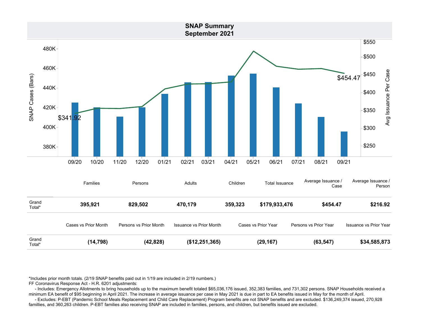

\*Includes prior month totals. (2/19 SNAP benefits paid out in 1/19 are included in 2/19 numbers.)

FF Coronavirus Response Act - H.R. 6201 adjustments:

 - Includes: Emergency Allotments to bring households up to the maximum benefit totaled \$65,036,176 issued, 352,383 families, and 731,302 persons. SNAP Households received a minimum EA benefit of \$95 beginning in April 2021. The increase in average issuance per case in May 2021 is due in part to EA benefits issued in May for the month of April.

 - Excludes: P-EBT (Pandemic School Meals Replacement and Child Care Replacement) Program benefits are not SNAP benefits and are excluded. \$136,249,374 issued, 270,928 famillies, and 360,263 children. P-EBT families also receiving SNAP are included in families, persons, and children, but benefits issued are excluded.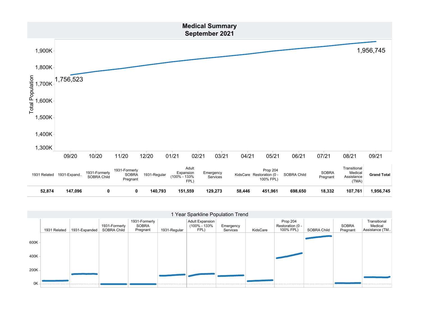

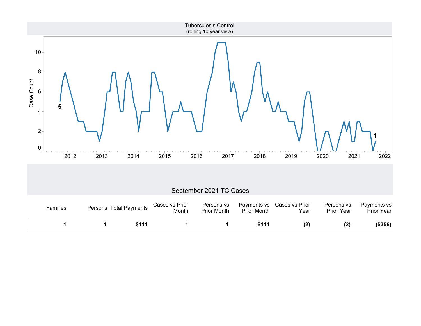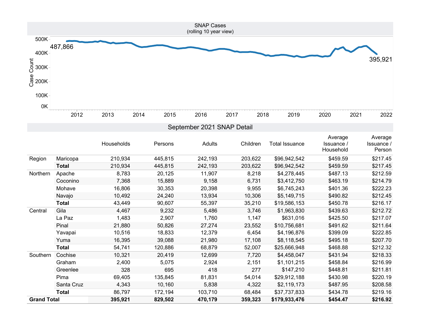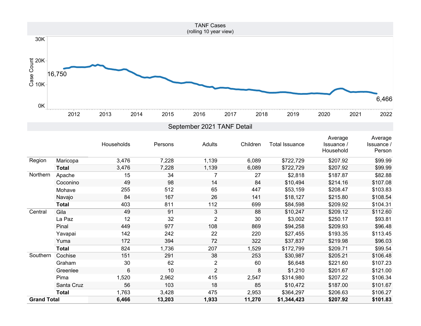

|                    |              | Households     | Persons | Adults         | Children | Total Issuance | Average<br>Issuance /<br>Household | Average<br><b>Issuance</b> /<br>Person |
|--------------------|--------------|----------------|---------|----------------|----------|----------------|------------------------------------|----------------------------------------|
| Region             | Maricopa     | 3,476          | 7,228   | 1,139          | 6,089    | \$722,729      | \$207.92                           | \$99.99                                |
|                    | <b>Total</b> | 3,476          | 7,228   | 1,139          | 6,089    | \$722,729      | \$207.92                           | \$99.99                                |
| Northern           | Apache       | 15             | 34      | 7              | 27       | \$2,818        | \$187.87                           | \$82.88                                |
|                    | Coconino     | 49             | 98      | 14             | 84       | \$10,494       | \$214.16                           | \$107.08                               |
|                    | Mohave       | 255            | 512     | 65             | 447      | \$53,159       | \$208.47                           | \$103.83                               |
|                    | Navajo       | 84             | 167     | 26             | 141      | \$18,127       | \$215.80                           | \$108.54                               |
|                    | <b>Total</b> | 403            | 811     | 112            | 699      | \$84,598       | \$209.92                           | \$104.31                               |
| Central            | Gila         | 49             | 91      | 3              | 88       | \$10,247       | \$209.12                           | \$112.60                               |
|                    | La Paz       | 12             | 32      | $\overline{2}$ | 30       | \$3,002        | \$250.17                           | \$93.81                                |
|                    | Pinal        | 449            | 977     | 108            | 869      | \$94,258       | \$209.93                           | \$96.48                                |
|                    | Yavapai      | 142            | 242     | 22             | 220      | \$27,455       | \$193.35                           | \$113.45                               |
|                    | Yuma         | 172            | 394     | 72             | 322      | \$37,837       | \$219.98                           | \$96.03                                |
|                    | <b>Total</b> | 824            | 1,736   | 207            | 1,529    | \$172,799      | \$209.71                           | \$99.54                                |
| Southern           | Cochise      | 151            | 291     | 38             | 253      | \$30,987       | \$205.21                           | \$106.48                               |
|                    | Graham       | 30             | 62      | $\overline{2}$ | 60       | \$6,648        | \$221.60                           | \$107.23                               |
|                    | Greenlee     | $6\phantom{1}$ | 10      | $\overline{2}$ | 8        | \$1,210        | \$201.67                           | \$121.00                               |
|                    | Pima         | 1,520          | 2,962   | 415            | 2,547    | \$314,980      | \$207.22                           | \$106.34                               |
|                    | Santa Cruz   | 56             | 103     | 18             | 85       | \$10,472       | \$187.00                           | \$101.67                               |
|                    | <b>Total</b> | 1,763          | 3,428   | 475            | 2,953    | \$364,297      | \$206.63                           | \$106.27                               |
| <b>Grand Total</b> |              | 6,466          | 13,203  | 1,933          | 11,270   | \$1,344,423    | \$207.92                           | \$101.83                               |